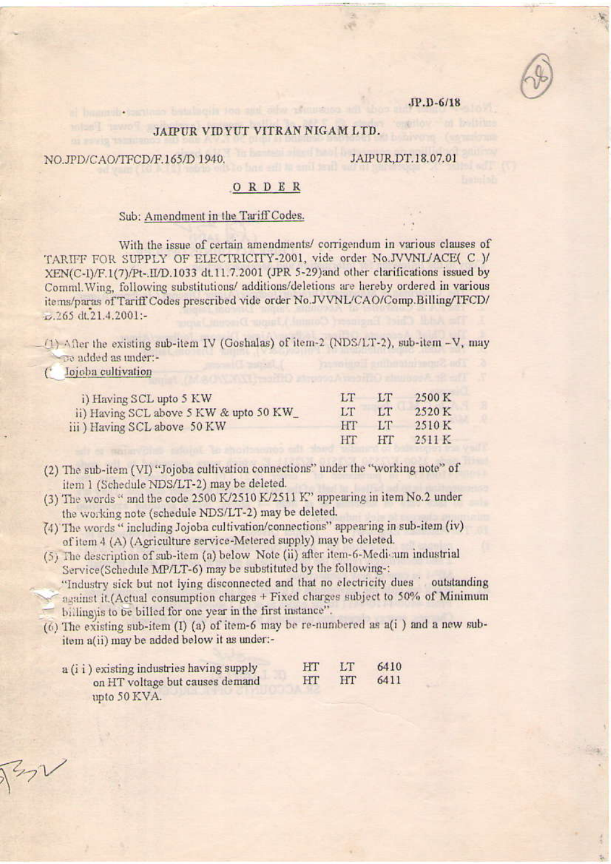### JP.D-6/18

## JAIPUR VIDYUT VITRAN NIGAM LTD.

NO.JPD/CAO/TFCD/F.165/D 1940.

# JAIPUR, DT.18.07.01

## ORDER

#### Sub: Amendment in the Tariff Codes.

With the issue of certain amendments/corrigendum in various clauses of TARIFF FOR SUPPLY OF ELECTRICITY-2001, vide order No.JVVNL/ACE( C )/ XEN(C-I)/F.1(7)/Pt-.II/D.1033 dt.11.7.2001 (JPR 5-29)and other clarifications issued by Comml. Wing, following substitutions/ additions/deletions are hereby ordered in various items/paras of Tariff Codes prescribed vide order No.JVVNL/CAO/Comp.Billing/TFCD/ £.265 dt.21.4.2001:-

(1) After the existing sub-item IV (Goshalas) of item-2 (NDS/LT-2), sub-item -V, may To added as under:-

#### lojoba cultivation C

| i) Having SCL upto 5 KW                 | TТ          | $-1$      | 2500 K |
|-----------------------------------------|-------------|-----------|--------|
| ii) Having SCL above 5 KW & upto 50 KW_ | <b>LT</b>   | <b>LT</b> | 2520 K |
| iii) Having SCL above 50 KW             | <b>THAT</b> | <b>TT</b> | 2510 K |
|                                         | HT          | <b>HT</b> | 2511 K |

- (2) The sub-item (VI) "Jojoba cultivation connections" under the "working note" of item 1 (Schedule NDS/LT-2) may be deleted.
- (3) The words " and the code 2500 K/2510 K/2511 K" appearing in item No.2 under the working note (schedule NDS/LT-2) may be deleted.
- (4) The words "including Jojoba cultivation/connections" appearing in sub-item (iv) of item 4 (A) (Agriculture service-Metered supply) may be deleted.
- (5) The description of sub-item (a) below Note (ii) after item-6-Medi-um industrial Service(Schedule MP/LT-6) may be substituted by the following-:

"Industry sick but not lying disconnected and that no electricity dues cutstanding against it.(Actual consumption charges + Fixed charges subject to 50% of Minimum billing)is to be billed for one year in the first instance".

(6) The existing sub-item (I) (a) of item-6 may be re-numbered as a(i) and a new subitem a(ii) may be added below it as under:-

| a (i i ) existing industries having supply | <b>HUV</b> | - 1511      | 6410 |
|--------------------------------------------|------------|-------------|------|
| on HT voltage but causes demand            | 141        | <b>SEST</b> | 6411 |
| unto $50$ KVA                              |            |             |      |